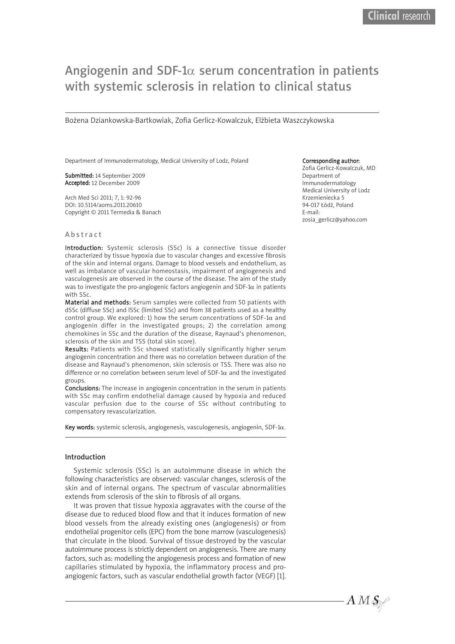# Angiogenin and SDF-1 $\alpha$  serum concentration in patients with systemic sclerosis in relation to clinical status

Bożena Dziankowska-Bartkowiak, Zofia Gerlicz-Kowalczuk, Elżbieta Waszczykowska

Department of Immunodermatology, Medical University of Lodz, Poland

Submitted: 14 September 2009 Accepted: 12 December 2009

Arch Med Sci 2011; 7, 1: 92-96 DOI: 10.5114/aoms.2011.20610 Copyright © 2011 Termedia & Banach

#### Corresponding author:

Zofia Gerlicz-Kowalczuk, MD Department of Immunodermatology Medical University of Lodz Krzemieniecka 5 94-017 Łódź, Poland E-mail: zosia\_gerlicz@yahoo.com

## A b s tr a c t

Introduction: Systemic sclerosis (SSc) is a connective tissue disorder characterized by tissue hypoxia due to vascular changes and excessive fibrosis of the skin and internal organs. Damage to blood vessels and endothelium, as well as imbalance of vascular homeostasis, impairment of angiogenesis and vasculogenesis are observed in the course of the disease. The aim of the study was to investigate the pro-angiogenic factors angiogenin and SDF-1 $\alpha$  in patients with SSc.

Material and methods: Serum samples were collected from 50 patients with dSSc (diffuse SSc) and lSSc (limited SSc) and from 38 patients used as a healthy control group. We explored: 1) how the serum concentrations of SDF-1 $\alpha$  and angiogenin differ in the investigated groups; 2) the correlation among chemokines in SSc and the duration of the disease, Raynaud's phenomenon, sclerosis of the skin and TSS (total skin score).

Results: Patients with SSc showed statistically significantly higher serum angiogenin concentration and there was no correlation between duration of the disease and Raynaud's phenomenon, skin sclerosis or TSS. There was also no difference or no correlation between serum level of SDF-1 $\alpha$  and the investigated groups.

Conclusions: The increase in angiogenin concentration in the serum in patients with SSc may confirm endothelial damage caused by hypoxia and reduced vascular perfusion due to the course of SSc without contributing to compensatory revascularization.

Key words: systemic sclerosis, angiogenesis, vasculogenesis, angiogenin, SDF-1 $\alpha$ .

## Introduction

Systemic sclerosis (SSc) is an autoimmune disease in which the following characteristics are observed: vascular changes, sclerosis of the skin and of internal organs. The spectrum of vascular abnormalities extends from sclerosis of the skin to fibrosis of all organs.

It was proven that tissue hypoxia aggravates with the course of the disease due to reduced blood flow and that it induces formation of new blood vessels from the already existing ones (angiogenesis) or from endothelial progenitor cells (EPC) from the bone marrow (vasculogenesis) that circulate in the blood. Survival of tissue destroyed by the vascular autoimmune process is strictly dependent on angiogenesis. There are many factors, such as: modelling the angiogenesis process and formation of new capillaries stimulated by hypoxia, the inflammatory process and proangiogenic factors, such as vascular endothelial growth factor (VEGF) [1].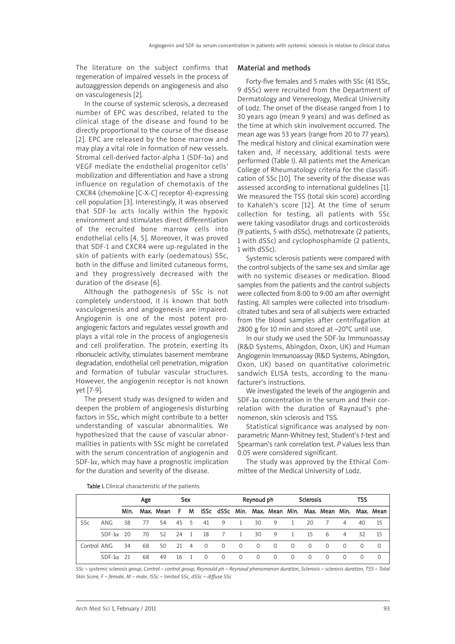The literature on the subject confirms that regeneration of impaired vessels in the process of autoaggression depends on angiogenesis and also on vasculogenesis [2].

In the course of systemic sclerosis, a decreased number of EPC was described, related to the clinical stage of the disease and found to be directly proportional to the course of the disease [2]. EPC are released by the bone marrow and may play a vital role in formation of new vessels. Stromal cell-derived factor-alpha 1 (SDF-1 $\alpha$ ) and VEGF mediate the endothelial progenitor cells' mobilization and differentiation and have a strong influence on regulation of chemotaxis of the CXCR4 (chemokine [C-X-C] receptor 4)-expressing cell population [3]. Interestingly, it was observed that SDF-1 $\alpha$  acts locally within the hypoxic environment and stimulates direct differentiation of the recruited bone marrow cells into endothelial cells [4, 5]. Moreover, it was proved that SDF-1 and CXCR4 were up-regulated in the skin of patients with early (oedematous) SSc, both in the diffuse and limited cutaneous forms, and they progressively decreased with the duration of the disease [6].

Although the pathogenesis of SSc is not completely understood, it is known that both vasculogenesis and angiogenesis are impaired. Angiogenin is one of the most potent proangiogenic factors and regulates vessel growth and plays a vital role in the process of angiogenesis and cell proliferation. The protein, exerting its ribonucleic activity, stimulates basement membrane degradation, endothelial cell penetration, migration and formation of tubular vascular structures. However, the angiogenin receptor is not known yet [7-9].

The present study was designed to widen and deepen the problem of angiogenesis disturbing factors in SSc, which might contribute to a better understanding of vascular abnormalities. We hypothesized that the cause of vascular abnormalities in patients with SSc might be correlated with the serum concentration of angiogenin and SDF-1 $\alpha$ , which may have a prognostic implication for the duration and severity of the disease.

### Material and methods

Forty-five females and 5 males with SSc (41 lSSc, 9 dSSc) were recruited from the Department of Dermatology and Venereology, Medical University of Lodz. The onset of the disease ranged from 1 to 30 years ago (mean 9 years) and was defined as the time at which skin involvement occurred. The mean age was 53 years (range from 20 to 77 years). The medical history and clinical examination were taken and, if necessary, additional tests were performed (Table I). All patients met the American College of Rheumatology criteria for the classification of SSc [10]. The severity of the disease was assessed according to international guidelines [1]. We measured the TSS (total skin score) according to Kahaleh's score [12]. At the time of serum collection for testing, all patients with SSc were taking vasodilator drugs and corticosteroids (9 patients, 5 with dSSc), methotrexate (2 patients, 1 with dSSc) and cyclophosphamide (2 patients, 1 with dSSc).

Systemic sclerosis patients were compared with the control subjects of the same sex and similar age with no systemic diseases or medication. Blood samples from the patients and the control subjects were collected from 8:00 to 9:00 am after overnight fasting. All samples were collected into trisodiumcitrated tubes and sera of all subjects were extracted from the blood samples after centrifugation at 2800 g for 10 min and stored at –20°C until use.

In our study we used the SDF-1 $\alpha$  Immunoassay (R&D Systems, Abingdon, Oxon, UK) and Human Angiogenin Immunoassay (R&D Systems, Abingdon, Oxon, UK) based on quantitative colorimetric sandwich ELISA tests, according to the manufacturer's instructions.

We investigated the levels of the angiogenin and SDF-1 $\alpha$  concentration in the serum and their correlation with the duration of Raynaud's phenomenon, skin sclerosis and TSS.

Statistical significance was analysed by nonparametric Mann-Whitney test, Student's *t*-test and Spearman's rank correlation test. *P* values less than 0.05 were considered significant.

The study was approved by the Ethical Committee of the Medical University of Lodz.

|             |               |      | Age |           |      | Sex |          |                |                | Reynoud ph |          |              | <b>Sclerosis</b> |                                                        |          | TSS |          |
|-------------|---------------|------|-----|-----------|------|-----|----------|----------------|----------------|------------|----------|--------------|------------------|--------------------------------------------------------|----------|-----|----------|
|             |               | Min. |     | Max. Mean | F.   | м   |          |                |                |            |          |              |                  | ISSc dSSc Min. Max. Mean Min. Max. Mean Min. Max. Mean |          |     |          |
| <b>SSc</b>  | ANG           | 38   | 77  | 54        | 45 5 |     | 41       | 9              | <sup>1</sup>   | 30         | 9        | -1           | 20               |                                                        | 4        | 40  | 15       |
|             | $SDF-1\alpha$ | - 20 | 70  | 52.       | 24 1 |     | -18      | 7              | 1              | 30         | 9        | $\mathbf{1}$ | 15               | 6                                                      | 4        | 32  | 15       |
| Control ANG |               | 34   | 68  | 50        | 21 4 |     | $\circ$  | $\overline{0}$ | $\overline{0}$ | $\Omega$   | $\Omega$ | $\Omega$     | $\Omega$         | $\Omega$                                               | $\Omega$ | 0   | $\Omega$ |
|             | $SDF-1\alpha$ | -21  | 68  | 49        | 16   |     | $\Omega$ | $\Omega$       | $\Omega$       | $\Omega$   | $\Omega$ | $\Omega$     | $\Omega$         | $\Omega$                                               | $\Omega$ | 0   | $\Omega$ |

Table I. Clinical characteristic of the patients

SSc - systemic sclerosis group, Control - control group, Reynould ph - Reynoud phenomenon duration, Sclerosis - sclerosis duration, TSS - Total *Skin Score, F – female, M – male, lSSc – limited SSc, dSSc – diffuse SSc*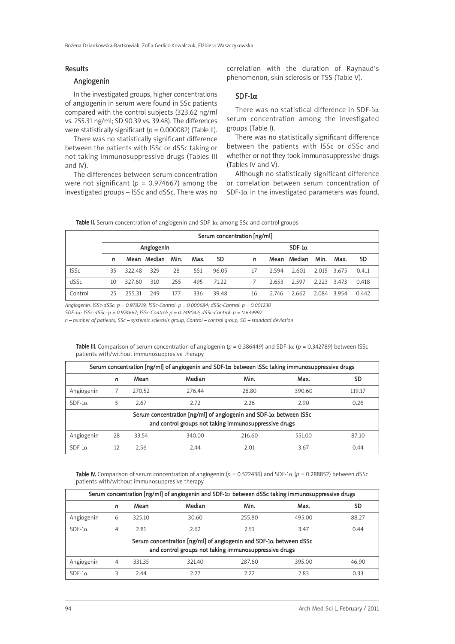# Results

# Angiogenin

In the investigated groups, higher concentrations of angiogenin in serum were found in SSc patients compared with the control subjects (323.62 ng/ml vs. 255.31 ng/ml; SD 90.39 vs. 39.48). The differences were statistically significant (*p* = 0.000082) (Table II).

There was no statistically significant difference between the patients with lSSc or dSSc taking or not taking immunosuppressive drugs (Tables III and IV).

The differences between serum concentration were not significant ( $p = 0.974667$ ) among the investigated groups – lSSc and dSSc. There was no

correlation with the duration of Raynaud's phenomenon, skin sclerosis or TSS (Table V).

# SDF-1α

There was no statistical difference in SDF-1 $\alpha$ serum concentration among the investigated groups (Table I).

There was no statistically significant difference between the patients with lSSc or dSSc and whether or not they took immunosuppressive drugs (Tables IV and V).

Although no statistically significant difference or correlation between serum concentration of SDF-1 $\alpha$  in the investigated parameters was found,

Table II. Serum concentration of angiogenin and SDF-1 $\alpha$  among SSc and control groups

|             | Serum concentration [ng/ml] |        |             |      |      |           |  |    |       |               |             |       |           |
|-------------|-----------------------------|--------|-------------|------|------|-----------|--|----|-------|---------------|-------------|-------|-----------|
|             |                             |        | Angiogenin  |      |      |           |  |    |       | $SDF-1\alpha$ |             |       |           |
|             | n                           |        | Mean Median | Min. | Max. | <b>SD</b> |  | n  |       | Mean Median   | Min.        | Max.  | <b>SD</b> |
| <b>ISSc</b> | 35.                         | 322.48 | 329         | 28   | 551  | 96.05     |  | 17 | 2.594 | 2.601         | 2.015 3.675 |       | 0.411     |
| dSSc        | 10                          | 327.60 | 310         | 255  | 495  | 71.22     |  | 7  | 2.653 | 2.597         | 2.223 3.473 |       | 0.418     |
| Control     | 25                          | 255.31 | 249         | 177  | 336  | 39.48     |  | 16 | 2.746 | 2.662         | 2.084       | 3.954 | 0.442     |

*Angiogenin: lSSc-dSSc: p = 0.978219; lSSc-Control: p = 0.000684; dSSc-Control: p = 0.001230*

*SDF-1*α*: lSSc-dSSc: p = 0.974667; lSSc-Control: p = 0.249042; dSSc-Control: p = 0.639997*

 $n$  – number of patients, SSc – systemic sclerosis group, Control – control group, SD – standard deviation

| Serum concentration [ng/ml] of angiogenin and SDF-1 $\alpha$ between ISSc taking immunosuppressive drugs |                                                                                                                                    |        |        |        |        |        |  |  |  |  |
|----------------------------------------------------------------------------------------------------------|------------------------------------------------------------------------------------------------------------------------------------|--------|--------|--------|--------|--------|--|--|--|--|
|                                                                                                          | n                                                                                                                                  | Mean   | Median | Min.   | Max.   | SD     |  |  |  |  |
| Angiogenin                                                                                               |                                                                                                                                    | 270.52 | 276.44 | 28.80  | 390.60 | 119.17 |  |  |  |  |
| $SDF-1\alpha$                                                                                            | 5                                                                                                                                  | 2.67   | 2.72   | 2.26   | 2.90   | 0.26   |  |  |  |  |
|                                                                                                          | Serum concentration [ng/ml] of angiogenin and SDF-1 $\alpha$ between ISSc<br>and control groups not taking immunosuppressive drugs |        |        |        |        |        |  |  |  |  |
|                                                                                                          |                                                                                                                                    |        |        |        |        |        |  |  |  |  |
| Angiogenin                                                                                               | 28                                                                                                                                 | 33.54  | 340.00 | 216.60 | 551.00 | 87.10  |  |  |  |  |
| $SDF-1\alpha$                                                                                            | 12                                                                                                                                 | 2.56   | 2.44   | 2.01   | 3.67   | 0.44   |  |  |  |  |

Table III. Comparison of serum concentration of angiogenin (*p* = 0.386449) and SDF-1α (*p* = 0.342789) between lSSc patients with/without immunosuppresive therapy

Table IV. Comparison of serum concentration of angiogenin (*p* = 0.522436) and SDF-1α (*p* = 0.288852) between dSSc patients with/without immunosuppresive therapy

| Serum concentration [ng/ml] of angiogenin and SDF-1 $\alpha$ between dSSc taking immunosuppressive drugs                           |   |        |        |        |        |           |  |  |  |
|------------------------------------------------------------------------------------------------------------------------------------|---|--------|--------|--------|--------|-----------|--|--|--|
|                                                                                                                                    | n | Mean   | Median | Min.   | Max.   | <b>SD</b> |  |  |  |
| Angiogenin                                                                                                                         | 6 | 325.10 | 30.60  | 255.80 | 495.00 | 88.27     |  |  |  |
| $SDF-1\alpha$                                                                                                                      | 4 | 2.81   | 2.62   | 2.51   | 3.47   | 0.44      |  |  |  |
| Serum concentration [ng/ml] of angiogenin and SDF-1 $\alpha$ between dSSc<br>and control groups not taking immunosuppressive drugs |   |        |        |        |        |           |  |  |  |
| Angiogenin                                                                                                                         | 4 | 331.35 | 321.40 | 287.60 | 395.00 | 46.90     |  |  |  |
| $SDF-1\alpha$                                                                                                                      | 3 | 2.44   | 2.27   | 2.22   | 2.83   | 0.33      |  |  |  |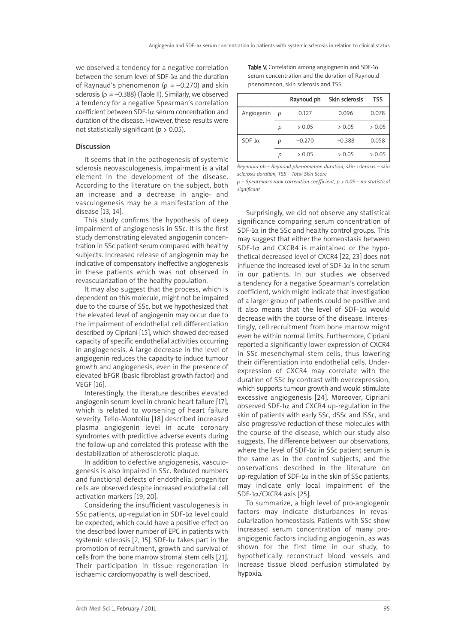we observed a tendency for a negative correlation between the serum level of SDF-1 $\alpha$  and the duration of Raynaud's phenomenon ( $\rho = -0.270$ ) and skin sclerosis ( $\rho = -0.388$ ) (Table II). Similarly, we observed a tendency for a negative Spearman's correlation coefficient between SDF-1α serum concentration and duration of the disease. However, these results were not statistically significant (*p* > 0.05).

# Discussion

It seems that in the pathogenesis of systemic sclerosis neovasculogenesis, impairment is a vital element in the development of the disease. According to the literature on the subject, both an increase and a decrease in angio- and vasculogenesis may be a manifestation of the disease [13, 14].

This study confirms the hypothesis of deep impairment of angiogenesis in SSc. It is the first study demonstrating elevated angiogenin concentration in SSc patient serum compared with healthy subjects. Increased release of angiogenin may be indicative of compensatory ineffective angiogenesis in these patients which was not observed in revascularization of the healthy population.

It may also suggest that the process, which is dependent on this molecule, might not be impaired due to the course of SSc, but we hypothesized that the elevated level of angiogenin may occur due to the impairment of endothelial cell differentiation described by Cipriani [15], which showed decreased capacity of specific endothelial activities occurring in angiogenesis. A large decrease in the level of angiogenin reduces the capacity to induce tumour growth and angiogenesis, even in the presence of elevated bFGR (basic fibroblast growth factor) and VEGF [16].

Interestingly, the literature describes elevated angiogenin serum level in chronic heart failure [17], which is related to worsening of heart failure severity. Tello-Montoliu [18] described increased plasma angiogenin level in acute coronary syndromes with predictive adverse events during the follow-up and correlated this protease with the destabilization of atherosclerotic plaque.

In addition to defective angiogenesis, vasculogenesis is also impaired in SSc. Reduced numbers and functional defects of endothelial progenitor cells are observed despite increased endothelial cell activation markers [19, 20].

Considering the insufficient vasculogenesis in SSc patients, up-regulation in SDF-1 $\alpha$  level could be expected, which could have a positive effect on the described lower number of EPC in patients with systemic sclerosis [2, 15]. SDF-1 $\alpha$  takes part in the promotion of recruitment, growth and survival of cells from the bone marrow stromal stem cells [21]. Their participation in tissue regeneration in ischaemic cardiomyopathy is well described.

Table V. Correlation among angiognenin and SDF-1 $\alpha$ serum concentration and the duration of Raynould phenomenon, skin sclerosis and TSS

|               |   | Raynoud ph | Skin sclerosis | <b>TSS</b> |
|---------------|---|------------|----------------|------------|
| Angiogenin    | ρ | 0.127      | 0.096          | 0.078      |
|               | р | > 0.05     | > 0.05         | > 0.05     |
| $SDF-1\alpha$ | ρ | $-0.270$   | $-0.388$       | 0.058      |
|               | n | > 0.05     | > 0.05         | > 0.05     |

*Reynould ph – Reynoud phenomenon duration, skin sclerosis – skin sclerosis duration, TSS – Total Skin Score*

ρ *– Spearman's rank correlation coefficient, p > 0.05 – no statistical significant*

Surprisingly, we did not observe any statistical significance comparing serum concentration of SDF-1 $\alpha$  in the SSc and healthy control groups. This may suggest that either the homeostasis between SDF-1 $\alpha$  and CXCR4 is maintained or the hypothetical decreased level of CXCR4 [22, 23] does not influence the increased level of SDF-1 $\alpha$  in the serum in our patients. In our studies we observed a tendency for a negative Spearman's correlation coefficient, which might indicate that investigation of a larger group of patients could be positive and it also means that the level of SDF-1 $\alpha$  would decrease with the course of the disease. Interestingly, cell recruitment from bone marrow might even be within normal limits. Furthermore, Cipriani reported a significantly lower expression of CXCR4 in SSc mesenchymal stem cells, thus lowering their differentiation into endothelial cells. Underexpression of CXCR4 may correlate with the duration of SSc by contrast with overexpression, which supports tumour growth and would stimulate excessive angiogenesis [24]. Moreover, Cipriani observed SDF-1α and CXCR4 up-regulation in the skin of patients with early SSc, dSSc and lSSc, and also progressive reduction of these molecules with the course of the disease, which our study also suggests. The difference between our observations, where the level of SDF-1 $\alpha$  in SSc patient serum is the same as in the control subjects, and the observations described in the literature on up-regulation of SDF-1 $\alpha$  in the skin of SSc patients, may indicate only local impairment of the SDF- $1α/CXCR4$  axis [25].

To summarize, a high level of pro-angiogenic factors may indicate disturbances in revascularization homeostasis. Patients with SSc show increased serum concentration of many proangiogenic factors including angiogenin, as was shown for the first time in our study, to hypothetically reconstruct blood vessels and increase tissue blood perfusion stimulated by hypoxia.